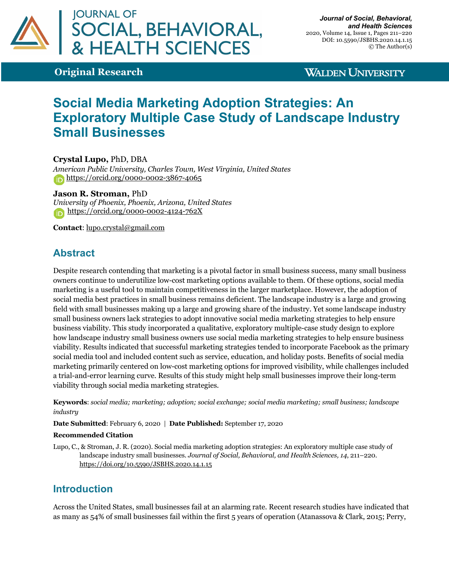

**Original Research**

**WALDEN UNIVERSITY** 

# **Social Media Marketing Adoption Strategies: An Exploratory Multiple Case Study of Landscape Industry Small Businesses**

**Crystal Lupo,** PhD, DBA

*American Public University, Charles Town, West Virginia, United States* https://orcid.org/0000-0002-3867-4065

#### **Jason R. Stroman,** PhD

*University of Phoenix, Phoenix, Arizona, United States* https://orcid.org/0000-0002-4124-762X

**Contact**: lupo.crystal@gmail.com

# **Abstract**

Despite research contending that marketing is a pivotal factor in small business success, many small business owners continue to underutilize low-cost marketing options available to them. Of these options, social media marketing is a useful tool to maintain competitiveness in the larger marketplace. However, the adoption of social media best practices in small business remains deficient. The landscape industry is a large and growing field with small businesses making up a large and growing share of the industry. Yet some landscape industry small business owners lack strategies to adopt innovative social media marketing strategies to help ensure business viability. This study incorporated a qualitative, exploratory multiple-case study design to explore how landscape industry small business owners use social media marketing strategies to help ensure business viability. Results indicated that successful marketing strategies tended to incorporate Facebook as the primary social media tool and included content such as service, education, and holiday posts. Benefits of social media marketing primarily centered on low-cost marketing options for improved visibility, while challenges included a trial-and-error learning curve. Results of this study might help small businesses improve their long-term viability through social media marketing strategies.

**Keywords**: *social media; marketing; adoption; social exchange; social media marketing; small business; landscape industry*

**Date Submitted**: February 6, 2020 | **Date Published:** September 17, 2020

#### **Recommended Citation**

Lupo, C., & Stroman, J. R. (2020). Social media marketing adoption strategies: An exploratory multiple case study of landscape industry small businesses. *Journal of Social, Behavioral, and Health Sciences, 14*, 211–220. https://doi.org/10.5590/JSBHS.2020.14.1.15

# **Introduction**

Across the United States, small businesses fail at an alarming rate. Recent research studies have indicated that as many as 54% of small businesses fail within the first 5 years of operation (Atanassova & Clark, 2015; Perry,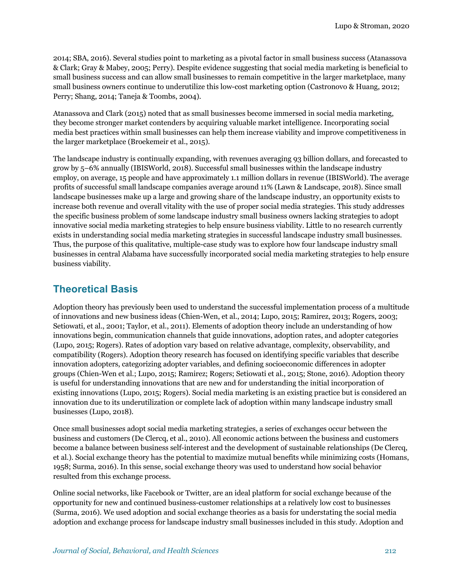2014; SBA, 2016). Several studies point to marketing as a pivotal factor in small business success (Atanassova & Clark; Gray & Mabey, 2005; Perry). Despite evidence suggesting that social media marketing is beneficial to small business success and can allow small businesses to remain competitive in the larger marketplace, many small business owners continue to underutilize this low-cost marketing option (Castronovo & Huang, 2012; Perry; Shang, 2014; Taneja & Toombs, 2004).

Atanassova and Clark (2015) noted that as small businesses become immersed in social media marketing, they become stronger market contenders by acquiring valuable market intelligence. Incorporating social media best practices within small businesses can help them increase viability and improve competitiveness in the larger marketplace (Broekemeir et al., 2015).

The landscape industry is continually expanding, with revenues averaging 93 billion dollars, and forecasted to grow by 5–6% annually (IBISWorld, 2018). Successful small businesses within the landscape industry employ, on average, 15 people and have approximately 1.1 million dollars in revenue (IBISWorld). The average profits of successful small landscape companies average around 11% (Lawn & Landscape, 2018). Since small landscape businesses make up a large and growing share of the landscape industry, an opportunity exists to increase both revenue and overall vitality with the use of proper social media strategies. This study addresses the specific business problem of some landscape industry small business owners lacking strategies to adopt innovative social media marketing strategies to help ensure business viability. Little to no research currently exists in understanding social media marketing strategies in successful landscape industry small businesses. Thus, the purpose of this qualitative, multiple-case study was to explore how four landscape industry small businesses in central Alabama have successfully incorporated social media marketing strategies to help ensure business viability.

# **Theoretical Basis**

Adoption theory has previously been used to understand the successful implementation process of a multitude of innovations and new business ideas (Chien-Wen, et al., 2014; Lupo, 2015; Ramirez, 2013; Rogers, 2003; Setiowati, et al., 2001; Taylor, et al., 2011). Elements of adoption theory include an understanding of how innovations begin, communication channels that guide innovations, adoption rates, and adopter categories (Lupo, 2015; Rogers). Rates of adoption vary based on relative advantage, complexity, observability, and compatibility (Rogers). Adoption theory research has focused on identifying specific variables that describe innovation adopters, categorizing adopter variables, and defining socioeconomic differences in adopter groups (Chien-Wen et al.; Lupo, 2015; Ramirez; Rogers; Setiowati et al., 2015; Stone, 2016). Adoption theory is useful for understanding innovations that are new and for understanding the initial incorporation of existing innovations (Lupo, 2015; Rogers). Social media marketing is an existing practice but is considered an innovation due to its underutilization or complete lack of adoption within many landscape industry small businesses (Lupo, 2018).

Once small businesses adopt social media marketing strategies, a series of exchanges occur between the business and customers (De Clercq, et al., 2010). All economic actions between the business and customers become a balance between business self-interest and the development of sustainable relationships (De Clercq, et al.). Social exchange theory has the potential to maximize mutual benefits while minimizing costs (Homans, 1958; Surma, 2016). In this sense, social exchange theory was used to understand how social behavior resulted from this exchange process.

Online social networks, like Facebook or Twitter, are an ideal platform for social exchange because of the opportunity for new and continued business-customer relationships at a relatively low cost to businesses (Surma, 2016). We used adoption and social exchange theories as a basis for understating the social media adoption and exchange process for landscape industry small businesses included in this study. Adoption and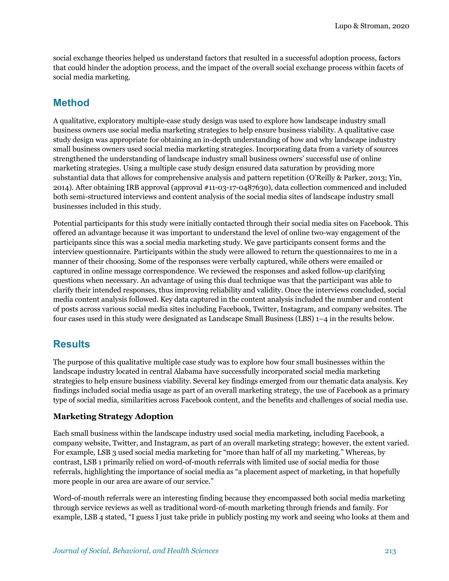social exchange theories helped us understand factors that resulted in a successful adoption process, factors that could hinder the adoption process, and the impact of the overall social exchange process within facets of social media marketing.

## **Method**

A qualitative, exploratory multiple-case study design was used to explore how landscape industry small business owners use social media marketing strategies to help ensure business viability. A qualitative case study design was appropriate for obtaining an in-depth understanding of how and why landscape industry small business owners used social media marketing strategies. Incorporating data from a variety of sources strengthened the understanding of landscape industry small business owners' successful use of online marketing strategies. Using a multiple case study design ensured data saturation by providing more substantial data that allows for comprehensive analysis and pattern repetition (O'Reilly & Parker, 2013; Yin, 2014). After obtaining IRB approval (approval #11-03-17-0487630), data collection commenced and included both semi-structured interviews and content analysis of the social media sites of landscape industry small businesses included in this study.

Potential participants for this study were initially contacted through their social media sites on Facebook. This offered an advantage because it was important to understand the level of online two-way engagement of the participants since this was a social media marketing study. We gave participants consent forms and the interview questionnaire. Participants within the study were allowed to return the questionnaires to me in a manner of their choosing. Some of the responses were verbally captured, while others were emailed or captured in online message correspondence. We reviewed the responses and asked follow-up clarifying questions when necessary. An advantage of using this dual technique was that the participant was able to clarify their intended responses, thus improving reliability and validity. Once the interviews concluded, social media content analysis followed. Key data captured in the content analysis included the number and content of posts across various social media sites including Facebook, Twitter, Instagram, and company websites. The four cases used in this study were designated as Landscape Small Business (LBS) 1–4 in the results below.

# **Results**

The purpose of this qualitative multiple case study was to explore how four small businesses within the landscape industry located in central Alabama have successfully incorporated social media marketing strategies to help ensure business viability. Several key findings emerged from our thematic data analysis. Key findings included social media usage as part of an overall marketing strategy, the use of Facebook as a primary type of social media, similarities across Facebook content, and the benefits and challenges of social media use.

#### **Marketing Strategy Adoption**

Each small business within the landscape industry used social media marketing, including Facebook, a company website, Twitter, and Instagram, as part of an overall marketing strategy; however, the extent varied. For example, LSB 3 used social media marketing for "more than half of all my marketing." Whereas, by contrast, LSB 1 primarily relied on word-of-mouth referrals with limited use of social media for those referrals, highlighting the importance of social media as "a placement aspect of marketing, in that hopefully more people in our area are aware of our service."

Word-of-mouth referrals were an interesting finding because they encompassed both social media marketing through service reviews as well as traditional word-of-mouth marketing through friends and family. For example, LSB 4 stated, "I guess I just take pride in publicly posting my work and seeing who looks at them and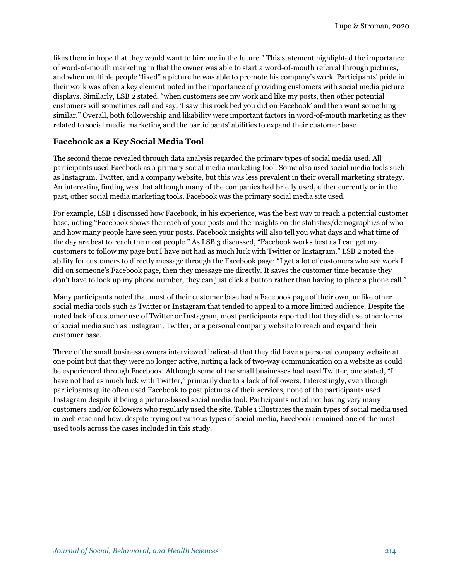likes them in hope that they would want to hire me in the future." This statement highlighted the importance of word-of-mouth marketing in that the owner was able to start a word-of-mouth referral through pictures, and when multiple people "liked" a picture he was able to promote his company's work. Participants' pride in their work was often a key element noted in the importance of providing customers with social media picture displays. Similarly, LSB 2 stated, "when customers see my work and like my posts, then other potential customers will sometimes call and say, 'I saw this rock bed you did on Facebook' and then want something similar." Overall, both followership and likability were important factors in word-of-mouth marketing as they related to social media marketing and the participants' abilities to expand their customer base.

#### **Facebook as a Key Social Media Tool**

The second theme revealed through data analysis regarded the primary types of social media used. All participants used Facebook as a primary social media marketing tool. Some also used social media tools such as Instagram, Twitter, and a company website, but this was less prevalent in their overall marketing strategy. An interesting finding was that although many of the companies had briefly used, either currently or in the past, other social media marketing tools, Facebook was the primary social media site used.

For example, LSB 1 discussed how Facebook, in his experience, was the best way to reach a potential customer base, noting "Facebook shows the reach of your posts and the insights on the statistics/demographics of who and how many people have seen your posts. Facebook insights will also tell you what days and what time of the day are best to reach the most people." As LSB 3 discussed, "Facebook works best as I can get my customers to follow my page but I have not had as much luck with Twitter or Instagram." LSB 2 noted the ability for customers to directly message through the Facebook page: "I get a lot of customers who see work I did on someone's Facebook page, then they message me directly. It saves the customer time because they don't have to look up my phone number, they can just click a button rather than having to place a phone call."

Many participants noted that most of their customer base had a Facebook page of their own, unlike other social media tools such as Twitter or Instagram that tended to appeal to a more limited audience. Despite the noted lack of customer use of Twitter or Instagram, most participants reported that they did use other forms of social media such as Instagram, Twitter, or a personal company website to reach and expand their customer base.

Three of the small business owners interviewed indicated that they did have a personal company website at one point but that they were no longer active, noting a lack of two-way communication on a website as could be experienced through Facebook. Although some of the small businesses had used Twitter, one stated, "I have not had as much luck with Twitter," primarily due to a lack of followers. Interestingly, even though participants quite often used Facebook to post pictures of their services, none of the participants used Instagram despite it being a picture-based social media tool. Participants noted not having very many customers and/or followers who regularly used the site. Table 1 illustrates the main types of social media used in each case and how, despite trying out various types of social media, Facebook remained one of the most used tools across the cases included in this study.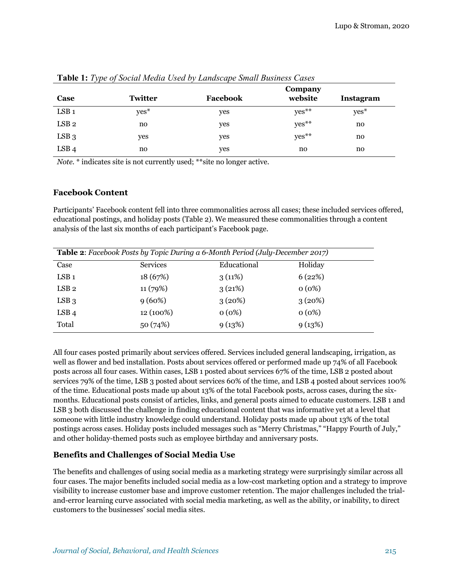| Case             | <b>Twitter</b> | Facebook | Company<br>website | Instagram |
|------------------|----------------|----------|--------------------|-----------|
| LSB <sub>1</sub> | yes*           | yes      | yes**              | $yes*$    |
| LSB <sub>2</sub> | no             | yes      | yes**              | no        |
| $LSB_3$          | yes            | yes      | yes**              | no        |
| LSB <sub>4</sub> | no             | yes      | no                 | no        |

**Table 1:** *Type of Social Media Used by Landscape Small Business Cases*

*Note.* \* indicates site is not currently used; \*\*site no longer active.

#### **Facebook Content**

Participants' Facebook content fell into three commonalities across all cases; these included services offered, educational postings, and holiday posts (Table 2). We measured these commonalities through a content analysis of the last six months of each participant's Facebook page.

| <b>Table 2:</b> Facebook Posts by Topic During a 6-Month Period (July-December 2017) |                 |             |          |  |  |
|--------------------------------------------------------------------------------------|-----------------|-------------|----------|--|--|
| Case                                                                                 | <b>Services</b> | Educational | Holiday  |  |  |
| $LSB_1$                                                                              | 18(67%)         | 3(11%)      | 6(22%)   |  |  |
| LSB <sub>2</sub>                                                                     | 11(79%)         | 3(21%)      | 0(0%)    |  |  |
| $LSB_3$                                                                              | $9(60\%)$       | 3(20%)      | 3(20%)   |  |  |
| LSB <sub>4</sub>                                                                     | 12 (100%)       | $0(0\%)$    | $0(0\%)$ |  |  |
| Total                                                                                | 50(74%)         | 9(13%)      | 9(13%)   |  |  |

All four cases posted primarily about services offered. Services included general landscaping, irrigation, as well as flower and bed installation. Posts about services offered or performed made up 74% of all Facebook posts across all four cases. Within cases, LSB 1 posted about services 67% of the time, LSB 2 posted about services 79% of the time, LSB 3 posted about services 60% of the time, and LSB 4 posted about services 100% of the time. Educational posts made up about 13% of the total Facebook posts, across cases, during the sixmonths. Educational posts consist of articles, links, and general posts aimed to educate customers. LSB 1 and LSB 3 both discussed the challenge in finding educational content that was informative yet at a level that someone with little industry knowledge could understand. Holiday posts made up about 13% of the total postings across cases. Holiday posts included messages such as "Merry Christmas," "Happy Fourth of July," and other holiday-themed posts such as employee birthday and anniversary posts.

#### **Benefits and Challenges of Social Media Use**

The benefits and challenges of using social media as a marketing strategy were surprisingly similar across all four cases. The major benefits included social media as a low-cost marketing option and a strategy to improve visibility to increase customer base and improve customer retention. The major challenges included the trialand-error learning curve associated with social media marketing, as well as the ability, or inability, to direct customers to the businesses' social media sites.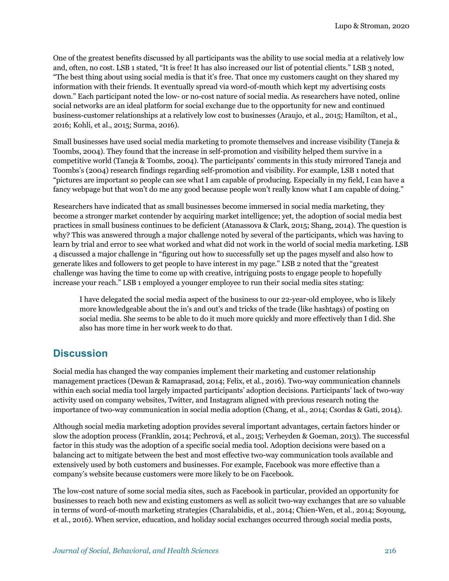One of the greatest benefits discussed by all participants was the ability to use social media at a relatively low and, often, no cost. LSB 1 stated, "It is free! It has also increased our list of potential clients." LSB 3 noted, "The best thing about using social media is that it's free. That once my customers caught on they shared my information with their friends. It eventually spread via word-of-mouth which kept my advertising costs down." Each participant noted the low- or no-cost nature of social media. As researchers have noted, online social networks are an ideal platform for social exchange due to the opportunity for new and continued business-customer relationships at a relatively low cost to businesses (Araujo, et al., 2015; Hamilton, et al., 2016; Kohli, et al., 2015; Surma, 2016).

Small businesses have used social media marketing to promote themselves and increase visibility (Taneja & Toombs, 2004). They found that the increase in self-promotion and visibility helped them survive in a competitive world (Taneja & Toombs, 2004). The participants' comments in this study mirrored Taneja and Toombs's (2004) research findings regarding self-promotion and visibility. For example, LSB 1 noted that "pictures are important so people can see what I am capable of producing. Especially in my field, I can have a fancy webpage but that won't do me any good because people won't really know what I am capable of doing."

Researchers have indicated that as small businesses become immersed in social media marketing, they become a stronger market contender by acquiring market intelligence; yet, the adoption of social media best practices in small business continues to be deficient (Atanassova & Clark, 2015; Shang, 2014). The question is why? This was answered through a major challenge noted by several of the participants, which was having to learn by trial and error to see what worked and what did not work in the world of social media marketing. LSB 4 discussed a major challenge in "figuring out how to successfully set up the pages myself and also how to generate likes and followers to get people to have interest in my page." LSB 2 noted that the "greatest challenge was having the time to come up with creative, intriguing posts to engage people to hopefully increase your reach." LSB 1 employed a younger employee to run their social media sites stating:

I have delegated the social media aspect of the business to our 22-year-old employee, who is likely more knowledgeable about the in's and out's and tricks of the trade (like hashtags) of posting on social media. She seems to be able to do it much more quickly and more effectively than I did. She also has more time in her work week to do that.

# **Discussion**

Social media has changed the way companies implement their marketing and customer relationship management practices (Dewan & Ramaprasad, 2014; Felix, et al., 2016). Two-way communication channels within each social media tool largely impacted participants' adoption decisions. Participants' lack of two-way activity used on company websites, Twitter, and Instagram aligned with previous research noting the importance of two-way communication in social media adoption (Chang, et al., 2014; Csordas & Gati, 2014).

Although social media marketing adoption provides several important advantages, certain factors hinder or slow the adoption process (Franklin, 2014; Pechrová, et al., 2015; Verheyden & Goeman, 2013). The successful factor in this study was the adoption of a specific social media tool. Adoption decisions were based on a balancing act to mitigate between the best and most effective two-way communication tools available and extensively used by both customers and businesses. For example, Facebook was more effective than a company's website because customers were more likely to be on Facebook.

The low-cost nature of some social media sites, such as Facebook in particular, provided an opportunity for businesses to reach both new and existing customers as well as solicit two-way exchanges that are so valuable in terms of word-of-mouth marketing strategies (Charalabidis, et al., 2014; Chien-Wen, et al., 2014; Soyoung, et al., 2016). When service, education, and holiday social exchanges occurred through social media posts,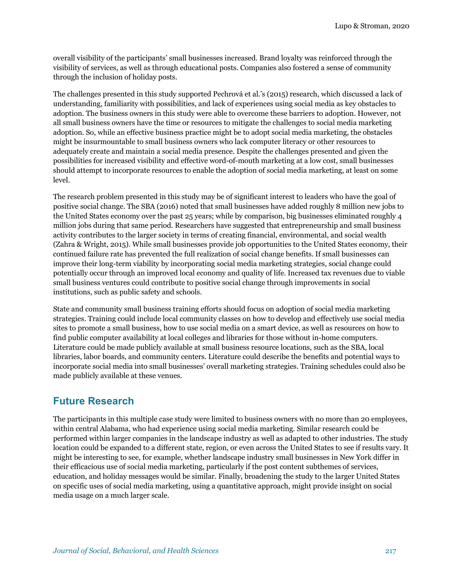overall visibility of the participants' small businesses increased. Brand loyalty was reinforced through the visibility of services, as well as through educational posts. Companies also fostered a sense of community through the inclusion of holiday posts.

The challenges presented in this study supported Pechrová et al.'s (2015) research, which discussed a lack of understanding, familiarity with possibilities, and lack of experiences using social media as key obstacles to adoption. The business owners in this study were able to overcome these barriers to adoption. However, not all small business owners have the time or resources to mitigate the challenges to social media marketing adoption. So, while an effective business practice might be to adopt social media marketing, the obstacles might be insurmountable to small business owners who lack computer literacy or other resources to adequately create and maintain a social media presence. Despite the challenges presented and given the possibilities for increased visibility and effective word-of-mouth marketing at a low cost, small businesses should attempt to incorporate resources to enable the adoption of social media marketing, at least on some level.

The research problem presented in this study may be of significant interest to leaders who have the goal of positive social change. The SBA (2016) noted that small businesses have added roughly 8 million new jobs to the United States economy over the past 25 years; while by comparison, big businesses eliminated roughly 4 million jobs during that same period. Researchers have suggested that entrepreneurship and small business activity contributes to the larger society in terms of creating financial, environmental, and social wealth (Zahra & Wright, 2015). While small businesses provide job opportunities to the United States economy, their continued failure rate has prevented the full realization of social change benefits. If small businesses can improve their long-term viability by incorporating social media marketing strategies, social change could potentially occur through an improved local economy and quality of life. Increased tax revenues due to viable small business ventures could contribute to positive social change through improvements in social institutions, such as public safety and schools.

State and community small business training efforts should focus on adoption of social media marketing strategies. Training could include local community classes on how to develop and effectively use social media sites to promote a small business, how to use social media on a smart device, as well as resources on how to find public computer availability at local colleges and libraries for those without in-home computers. Literature could be made publicly available at small business resource locations, such as the SBA, local libraries, labor boards, and community centers. Literature could describe the benefits and potential ways to incorporate social media into small businesses' overall marketing strategies. Training schedules could also be made publicly available at these venues.

# **Future Research**

The participants in this multiple case study were limited to business owners with no more than 20 employees, within central Alabama, who had experience using social media marketing. Similar research could be performed within larger companies in the landscape industry as well as adapted to other industries. The study location could be expanded to a different state, region, or even across the United States to see if results vary. It might be interesting to see, for example, whether landscape industry small businesses in New York differ in their efficacious use of social media marketing, particularly if the post content subthemes of services, education, and holiday messages would be similar. Finally, broadening the study to the larger United States on specific uses of social media marketing, using a quantitative approach, might provide insight on social media usage on a much larger scale.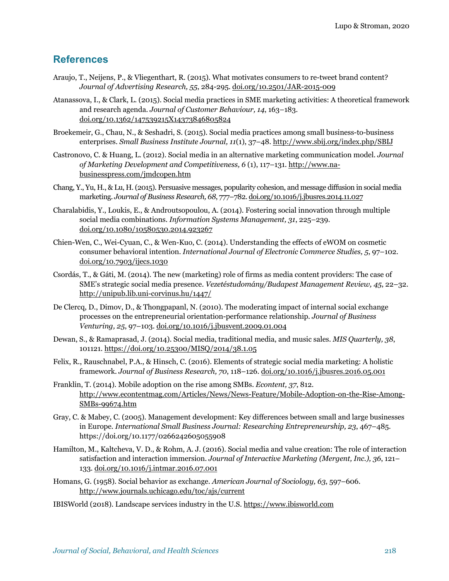### **References**

- Araujo, T., Neijens, P., & Vliegenthart, R. (2015). What motivates consumers to re-tweet brand content? *Journal of Advertising Research, 55*, 284-295. doi.org/10.2501/JAR-2015-009
- Atanassova, I., & Clark, L. (2015). Social media practices in SME marketing activities: A theoretical framework and research agenda. *Journal of Customer Behaviour, 14*, 163–183. doi.org/10.1362/147539215X14373846805824
- Broekemeir, G., Chau, N., & Seshadri, S. (2015). Social media practices among small business-to-business enterprises. *Small Business Institute Journal, 11*(1), 37–48. http://www.sbij.org/index.php/SBIJ
- Castronovo, C. & Huang, L. (2012). Social media in an alternative marketing communication model. *Journal of Marketing Development and Competitiveness, 6* (1), 117–131. http://www.nabusinesspress.com/jmdcopen.htm
- Chang, Y., Yu, H., & Lu, H.(2015). Persuasive messages, popularity cohesion, and message diffusion in social media marketing. *Journal of Business Research, 68*, 777–782. doi.org/10.1016/j.jbusres.2014.11.027
- Charalabidis, Y., Loukis, E., & Androutsopoulou, A. (2014). Fostering social innovation through multiple social media combinations. *Information Systems Management, 31*, 225–239. doi.org/10.1080/10580530.2014.923267
- Chien-Wen, C., Wei-Cyuan, C., & Wen-Kuo, C. (2014). Understanding the effects of eWOM on cosmetic consumer behavioral intention. *International Journal of Electronic Commerce Studies, 5*, 97–102. doi.org/10.7903/ijecs.1030
- Csordás, T., & Gáti, M. (2014). The new (marketing) role of firms as media content providers: The case of SME's strategic social media presence. *Vezetéstudomány/Budapest Management Review, 45*, 22–32. http://unipub.lib.uni-corvinus.hu/1447/
- De Clercq, D., Dimov, D., & Thongpapanl, N. (2010). The moderating impact of internal social exchange processes on the entrepreneurial orientation-performance relationship. *Journal of Business Venturing, 25*, 97–103. doi.org/10.1016/j.jbusvent.2009.01.004
- Dewan, S., & Ramaprasad, J. (2014). Social media, traditional media, and music sales. *MIS Quarterly, 38*, 101121. https://doi.org/10.25300/MISQ/2014/38.1.05
- Felix, R., Rauschnabel, P.A., & Hinsch, C. (2016). Elements of strategic social media marketing: A holistic framework. *Journal of Business Research, 70*, 118–126. doi.org/10.1016/j.jbusres.2016.05.001
- Franklin, T. (2014). Mobile adoption on the rise among SMBs. *Econtent, 37*, 812. http://www.econtentmag.com/Articles/News/News-Feature/Mobile-Adoption-on-the-Rise-Among-SMBs-99674.htm
- Gray, C. & Mabey, C. (2005). Management development: Key differences between small and large businesses in Europe. *International Small Business Journal: Researching Entrepreneurship, 23*, 467–485. https://doi.org/10.1177/0266242605055908
- Hamilton, M., Kaltcheva, V. D., & Rohm, A. J. (2016). Social media and value creation: The role of interaction satisfaction and interaction immersion. *Journal of Interactive Marketing (Mergent, Inc.), 36*, 121– 133. doi.org/10.1016/j.intmar.2016.07.001
- Homans, G. (1958). Social behavior as exchange. *American Journal of Sociology, 63*, 597–606. http://www.journals.uchicago.edu/toc/ajs/current
- IBISWorld (2018). Landscape services industry in the U.S. https://www.ibisworld.com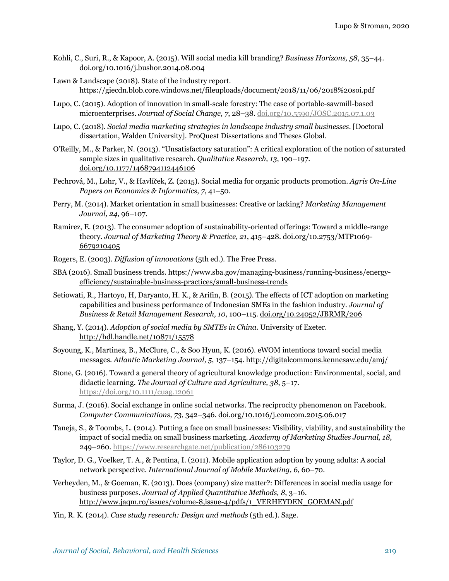- Kohli, C., Suri, R., & Kapoor, A. (2015). Will social media kill branding? *Business Horizons, 58*, 35–44. doi.org/10.1016/j.bushor.2014.08.004
- Lawn & Landscape (2018). State of the industry report. https://giecdn.blob.core.windows.net/fileuploads/document/2018/11/06/2018%20soi.pdf
- Lupo, C. (2015). Adoption of innovation in small-scale forestry: The case of portable-sawmill-based microenterprises. *Journal of Social Change, 7*, 28–38. doi.org/10.5590/JOSC.2015.07.1.03
- Lupo, C. (2018). *Social media marketing strategies in landscape industry small businesses*. [Doctoral dissertation, Walden University]. ProQuest Dissertations and Theses Global.
- O'Reilly, M., & Parker, N. (2013). "Unsatisfactory saturation": A critical exploration of the notion of saturated sample sizes in qualitative research. *Qualitative Research, 13*, 190–197. doi.org/10.1177/1468794112446106
- Pechrová, M., Lohr, V., & Havlíček, Z. (2015). Social media for organic products promotion. *Agris On-Line Papers on Economics & Informatics, 7*, 41–50.
- Perry, M. (2014). Market orientation in small businesses: Creative or lacking? *Marketing Management Journal, 24*, 96–107.
- Ramirez, E. (2013). The consumer adoption of sustainability-oriented offerings: Toward a middle-range theory. *Journal of Marketing Theory & Practice, 21*, 415–428. doi.org/10.2753/MTP1069- 6679210405
- Rogers, E. (2003). *Diffusion of innovations* (5th ed.). The Free Press.
- SBA (2016). Small business trends. https://www.sba.gov/managing-business/running-business/energyefficiency/sustainable-business-practices/small-business-trends
- Setiowati, R., Hartoyo, H, Daryanto, H. K., & Arifin, B. (2015). The effects of ICT adoption on marketing capabilities and business performance of Indonesian SMEs in the fashion industry. *Journal of Business & Retail Management Research, 10*, 100–115. doi.org/10.24052/JBRMR/206
- Shang, Y. (2014). *Adoption of social media by SMTEs in China*. University of Exeter. http://hdl.handle.net/10871/15578
- Soyoung, K., Martinez, B., McClure, C., & Soo Hyun, K. (2016). eWOM intentions toward social media messages. *Atlantic Marketing Journal, 5*, 137–154. http://digitalcommons.kennesaw.edu/amj/
- Stone, G. (2016). Toward a general theory of agricultural knowledge production: Environmental, social, and didactic learning. *The Journal of Culture and Agriculture, 38*, 5–17. https://doi.org/10.1111/cuag.12061
- Surma, J. (2016). Social exchange in online social networks. The reciprocity phenomenon on Facebook. *Computer Communications, 73*, 342–346. doi.org/10.1016/j.comcom.2015.06.017
- Taneja, S., & Toombs, L. (2014). Putting a face on small businesses: Visibility, viability, and sustainability the impact of social media on small business marketing. *Academy of Marketing Studies Journal, 18*, 249–260. https://www.researchgate.net/publication/286103279
- Taylor, D. G., Voelker, T. A., & Pentina, I. (2011). Mobile application adoption by young adults: A social network perspective. *International Journal of Mobile Marketing, 6*, 60–70.
- Verheyden, M., & Goeman, K. (2013). Does (company) size matter?: Differences in social media usage for business purposes. *Journal of Applied Quantitative Methods, 8*, 3–16. http://www.jaqm.ro/issues/volume-8,issue-4/pdfs/1\_VERHEYDEN\_GOEMAN.pdf
- Yin, R. K. (2014). *Case study research: Design and methods* (5th ed.). Sage.